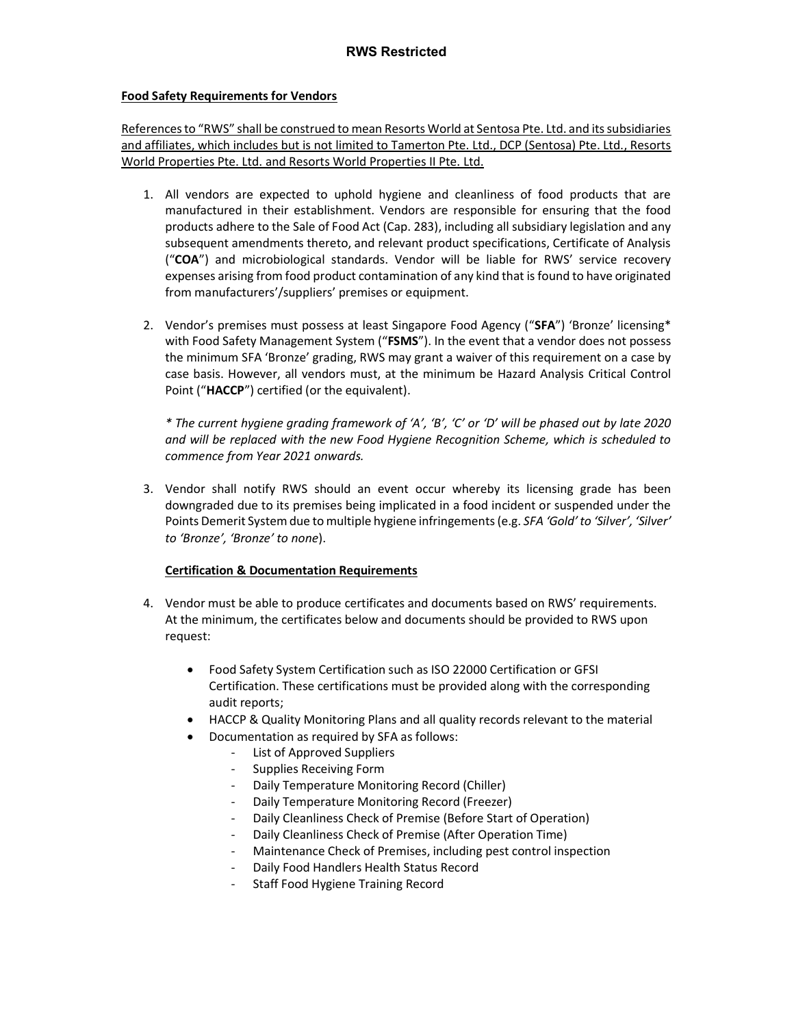#### Food Safety Requirements for Vendors

References to "RWS" shall be construed to mean Resorts World at Sentosa Pte. Ltd. and its subsidiaries and affiliates, which includes but is not limited to Tamerton Pte. Ltd., DCP (Sentosa) Pte. Ltd., Resorts World Properties Pte. Ltd. and Resorts World Properties II Pte. Ltd.

- 1. All vendors are expected to uphold hygiene and cleanliness of food products that are manufactured in their establishment. Vendors are responsible for ensuring that the food products adhere to the Sale of Food Act (Cap. 283), including all subsidiary legislation and any subsequent amendments thereto, and relevant product specifications, Certificate of Analysis ("COA") and microbiological standards. Vendor will be liable for RWS' service recovery expenses arising from food product contamination of any kind that is found to have originated from manufacturers'/suppliers' premises or equipment.
- 2. Vendor's premises must possess at least Singapore Food Agency ("SFA") 'Bronze' licensing\* with Food Safety Management System ("FSMS"). In the event that a vendor does not possess the minimum SFA 'Bronze' grading, RWS may grant a waiver of this requirement on a case by case basis. However, all vendors must, at the minimum be Hazard Analysis Critical Control Point ("HACCP") certified (or the equivalent).

\* The current hygiene grading framework of 'A', 'B', 'C' or 'D' will be phased out by late 2020 and will be replaced with the new Food Hygiene Recognition Scheme, which is scheduled to commence from Year 2021 onwards.

3. Vendor shall notify RWS should an event occur whereby its licensing grade has been downgraded due to its premises being implicated in a food incident or suspended under the Points Demerit System due to multiple hygiene infringements (e.g. SFA 'Gold' to 'Silver', 'Silver' to 'Bronze', 'Bronze' to none).

# Certification & Documentation Requirements

- 4. Vendor must be able to produce certificates and documents based on RWS' requirements. At the minimum, the certificates below and documents should be provided to RWS upon request:
	- Food Safety System Certification such as ISO 22000 Certification or GFSI Certification. These certifications must be provided along with the corresponding audit reports;
	- HACCP & Quality Monitoring Plans and all quality records relevant to the material
	- Documentation as required by SFA as follows:
		- List of Approved Suppliers
		- Supplies Receiving Form
		- Daily Temperature Monitoring Record (Chiller)
		- Daily Temperature Monitoring Record (Freezer)
		- Daily Cleanliness Check of Premise (Before Start of Operation)
		- Daily Cleanliness Check of Premise (After Operation Time)
		- Maintenance Check of Premises, including pest control inspection
		- Daily Food Handlers Health Status Record
		- Staff Food Hygiene Training Record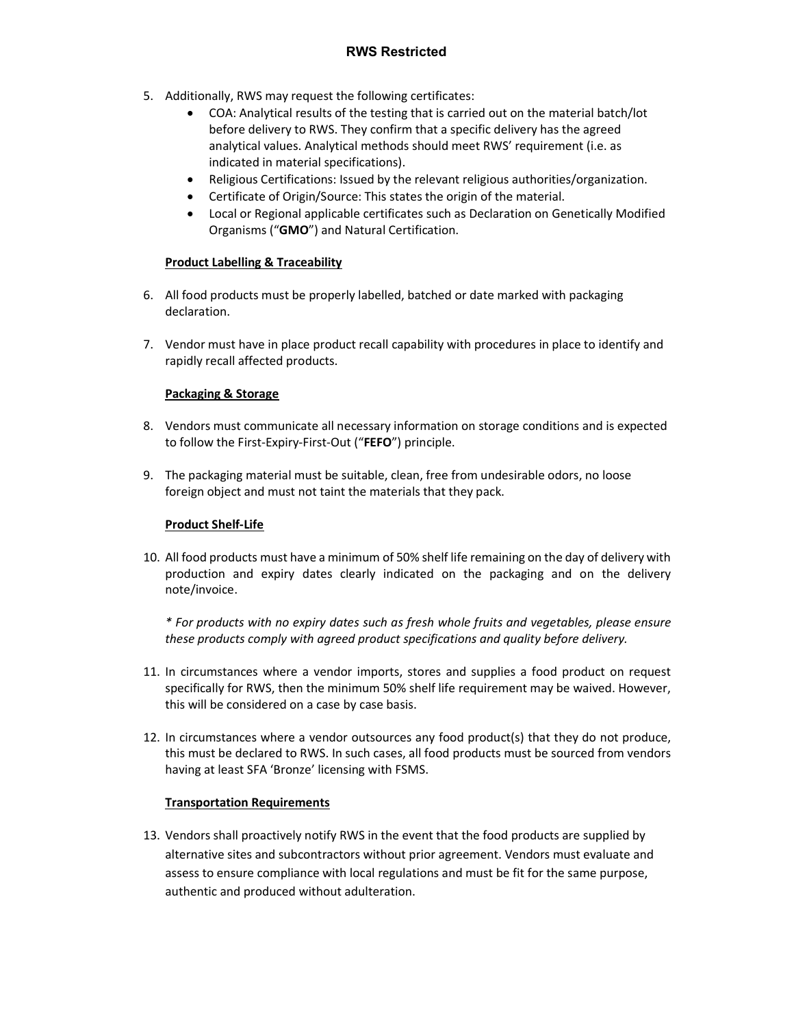- 5. Additionally, RWS may request the following certificates:
	- COA: Analytical results of the testing that is carried out on the material batch/lot before delivery to RWS. They confirm that a specific delivery has the agreed analytical values. Analytical methods should meet RWS' requirement (i.e. as indicated in material specifications).
	- Religious Certifications: Issued by the relevant religious authorities/organization.
	- Certificate of Origin/Source: This states the origin of the material.
	- Local or Regional applicable certificates such as Declaration on Genetically Modified Organisms ("GMO") and Natural Certification.

# Product Labelling & Traceability

- 6. All food products must be properly labelled, batched or date marked with packaging declaration.
- 7. Vendor must have in place product recall capability with procedures in place to identify and rapidly recall affected products.

# Packaging & Storage

- 8. Vendors must communicate all necessary information on storage conditions and is expected to follow the First-Expiry-First-Out ("FEFO") principle.
- 9. The packaging material must be suitable, clean, free from undesirable odors, no loose foreign object and must not taint the materials that they pack.

# Product Shelf-Life

10. All food products must have a minimum of 50% shelf life remaining on the day of delivery with production and expiry dates clearly indicated on the packaging and on the delivery note/invoice.

\* For products with no expiry dates such as fresh whole fruits and vegetables, please ensure these products comply with agreed product specifications and quality before delivery.

- 11. In circumstances where a vendor imports, stores and supplies a food product on request specifically for RWS, then the minimum 50% shelf life requirement may be waived. However, this will be considered on a case by case basis.
- 12. In circumstances where a vendor outsources any food product(s) that they do not produce, this must be declared to RWS. In such cases, all food products must be sourced from vendors having at least SFA 'Bronze' licensing with FSMS.

#### Transportation Requirements

13. Vendors shall proactively notify RWS in the event that the food products are supplied by alternative sites and subcontractors without prior agreement. Vendors must evaluate and assess to ensure compliance with local regulations and must be fit for the same purpose, authentic and produced without adulteration.